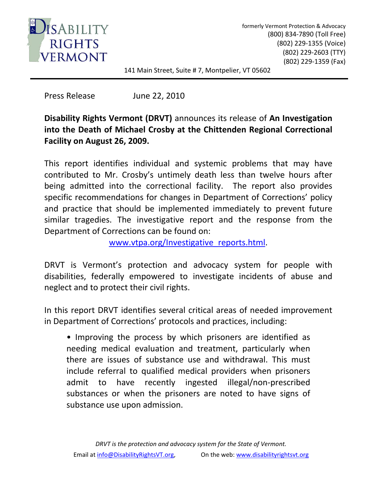

formerly Vermont Protection & Advocacy (800) 834‐7890 (Toll Free)  (802) 229‐1355 (Voice) (802) 229‐2603 (TTY) (802) 229‐1359 (Fax)

141 Main Street, Suite # 7, Montpelier, VT 05602

Press Release June 22, 2010

## **Disability Rights Vermont (DRVT)** announces its release of **An Investigation into the Death of Michael Crosby at the Chittenden Regional Correctional Facility on August 26, 2009.**

This report identifies individual and systemic problems that may have contributed to Mr. Crosby's untimely death less than twelve hours after being admitted into the correctional facility. The report also provides specific recommendations for changes in Department of Corrections' policy and practice that should be implemented immediately to prevent future similar tragedies. The investigative report and the response from the Department of Corrections can be found on:

[www.vtpa.org/Investigative\\_reports.html](http://www.vtpa.org/Investigative_reports.html).

DRVT is Vermont's protection and advocacy system for people with disabilities, federally empowered to investigate incidents of abuse and neglect and to protect their civil rights.

In this report DRVT identifies several critical areas of needed improvement in Department of Corrections' protocols and practices, including:

• Improving the process by which prisoners are identified as needing medical evaluation and treatment, particularly when there are issues of substance use and withdrawal. This must include referral to qualified medical providers when prisoners admit to have recently ingested illegal/non‐prescribed substances or when the prisoners are noted to have signs of substance use upon admission.